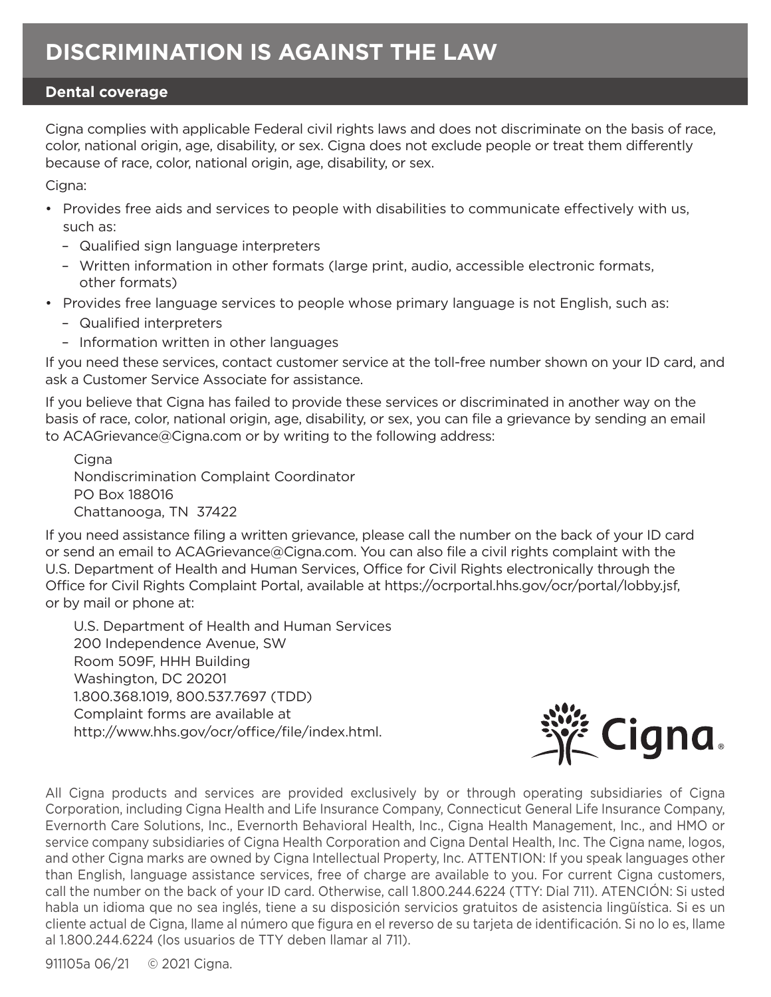## **Dental coverage**

Cigna complies with applicable Federal civil rights laws and does not discriminate on the basis of race, color, national origin, age, disability, or sex. Cigna does not exclude people or treat them differently because of race, color, national origin, age, disability, or sex.

Cigna:

- Provides free aids and services to people with disabilities to communicate effectively with us, such as:
	- Qualified sign language interpreters
	- Written information in other formats (large print, audio, accessible electronic formats, other formats)
- Provides free language services to people whose primary language is not English, such as:
	- Qualified interpreters
	- Information written in other languages

If you need these services, contact customer service at the toll-free number shown on your ID card, and ask a Customer Service Associate for assistance.

If you believe that Cigna has failed to provide these services or discriminated in another way on the basis of race, color, national origin, age, disability, or sex, you can file a grievance by sending an email to ACAGrievance@Cigna.com or by writing to the following address:

**Cigna** Nondiscrimination Complaint Coordinator PO Box 188016 Chattanooga, TN 37422

If you need assistance filing a written grievance, please call the number on the back of your ID card or send an email to ACAGrievance@Cigna.com. You can also file a civil rights complaint with the U.S. Department of Health and Human Services, Office for Civil Rights electronically through the Office for Civil Rights Complaint Portal, available at https://ocrportal.hhs.gov/ocr/portal/lobby.jsf, or by mail or phone at:

U.S. Department of Health and Human Services 200 Independence Avenue, SW Room 509F, HHH Building Washington, DC 20201 1.800.368.1019, 800.537.7697 (TDD) Complaint forms are available at http://www.hhs.gov/ocr/office/file/index.html.



All Cigna products and services are provided exclusively by or through operating subsidiaries of Cigna Corporation, including Cigna Health and Life Insurance Company, Connecticut General Life Insurance Company, Evernorth Care Solutions, Inc., Evernorth Behavioral Health, Inc., Cigna Health Management, Inc., and HMO or service company subsidiaries of Cigna Health Corporation and Cigna Dental Health, Inc. The Cigna name, logos, and other Cigna marks are owned by Cigna Intellectual Property, Inc. ATTENTION: If you speak languages other than English, language assistance services, free of charge are available to you. For current Cigna customers, call the number on the back of your ID card. Otherwise, call 1.800.244.6224 (TTY: Dial 711). ATENCIÓN: Si usted habla un idioma que no sea inglés, tiene a su disposición servicios gratuitos de asistencia lingüística. Si es un cliente actual de Cigna, llame al número que figura en el reverso de su tarjeta de identificación. Si no lo es, llame al 1.800.244.6224 (los usuarios de TTY deben llamar al 711).

911105a 06/21 © 2021 Cigna.